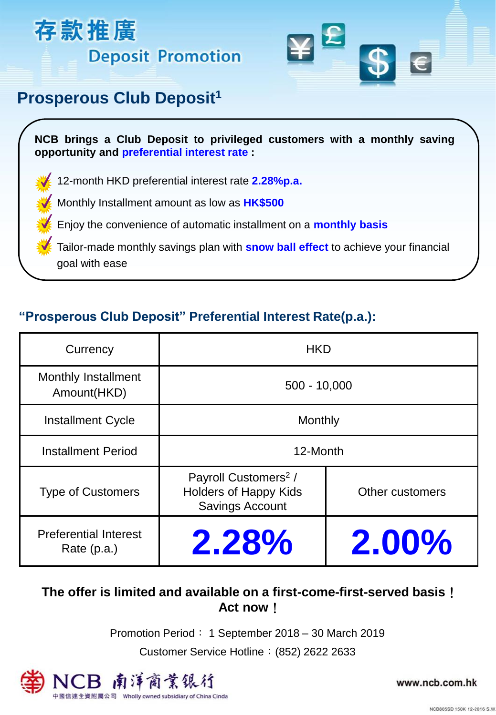



## **Prosperous Club Deposit<sup>1</sup>**

**NCB brings a Club Deposit to privileged customers with a monthly saving opportunity and preferential interest rate :**

12-month HKD preferential interest rate **2.28%p.a.**

Monthly Installment amount as low as **HK\$500**

Enjoy the convenience of automatic installment on a **monthly basis**

Tailor-made monthly savings plan with **snow ball effect** to achieve your financial goal with ease

## **"Prosperous Club Deposit" Preferential Interest Rate(p.a.):**

| Currency                                      | <b>HKD</b>                                                                                 |                 |
|-----------------------------------------------|--------------------------------------------------------------------------------------------|-----------------|
| <b>Monthly Installment</b><br>Amount(HKD)     | $500 - 10,000$                                                                             |                 |
| <b>Installment Cycle</b>                      | Monthly                                                                                    |                 |
| <b>Installment Period</b>                     | 12-Month                                                                                   |                 |
| <b>Type of Customers</b>                      | Payroll Customers <sup>2</sup> /<br><b>Holders of Happy Kids</b><br><b>Savings Account</b> | Other customers |
| <b>Preferential Interest</b><br>Rate $(p.a.)$ | 2.28%                                                                                      | 2.00%           |

### **The offer is limited and available on a first-come-first-served basis**! **Act now**!

Promotion Period: 1 September 2018 – 30 March 2019

Customer Service Hotline:(852) 2622 2633



www.ncb.com.hk